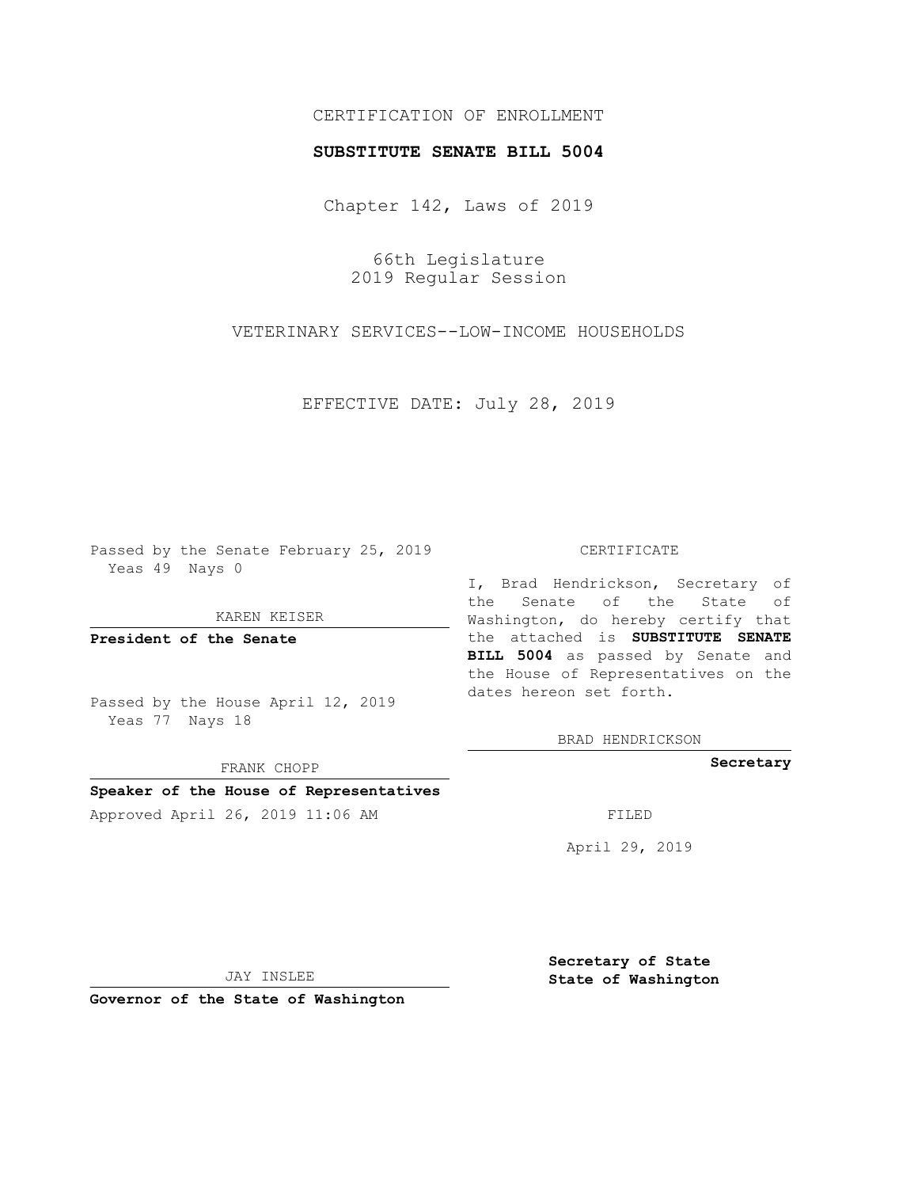## CERTIFICATION OF ENROLLMENT

### **SUBSTITUTE SENATE BILL 5004**

Chapter 142, Laws of 2019

66th Legislature 2019 Regular Session

VETERINARY SERVICES--LOW-INCOME HOUSEHOLDS

EFFECTIVE DATE: July 28, 2019

Passed by the Senate February 25, 2019 Yeas 49 Nays 0

KAREN KEISER

**President of the Senate**

Passed by the House April 12, 2019 Yeas 77 Nays 18

FRANK CHOPP

# **Speaker of the House of Representatives**

Approved April 26, 2019 11:06 AM FILED

#### CERTIFICATE

I, Brad Hendrickson, Secretary of the Senate of the State of Washington, do hereby certify that the attached is **SUBSTITUTE SENATE BILL 5004** as passed by Senate and the House of Representatives on the dates hereon set forth.

BRAD HENDRICKSON

**Secretary**

April 29, 2019

JAY INSLEE

**Governor of the State of Washington**

**Secretary of State State of Washington**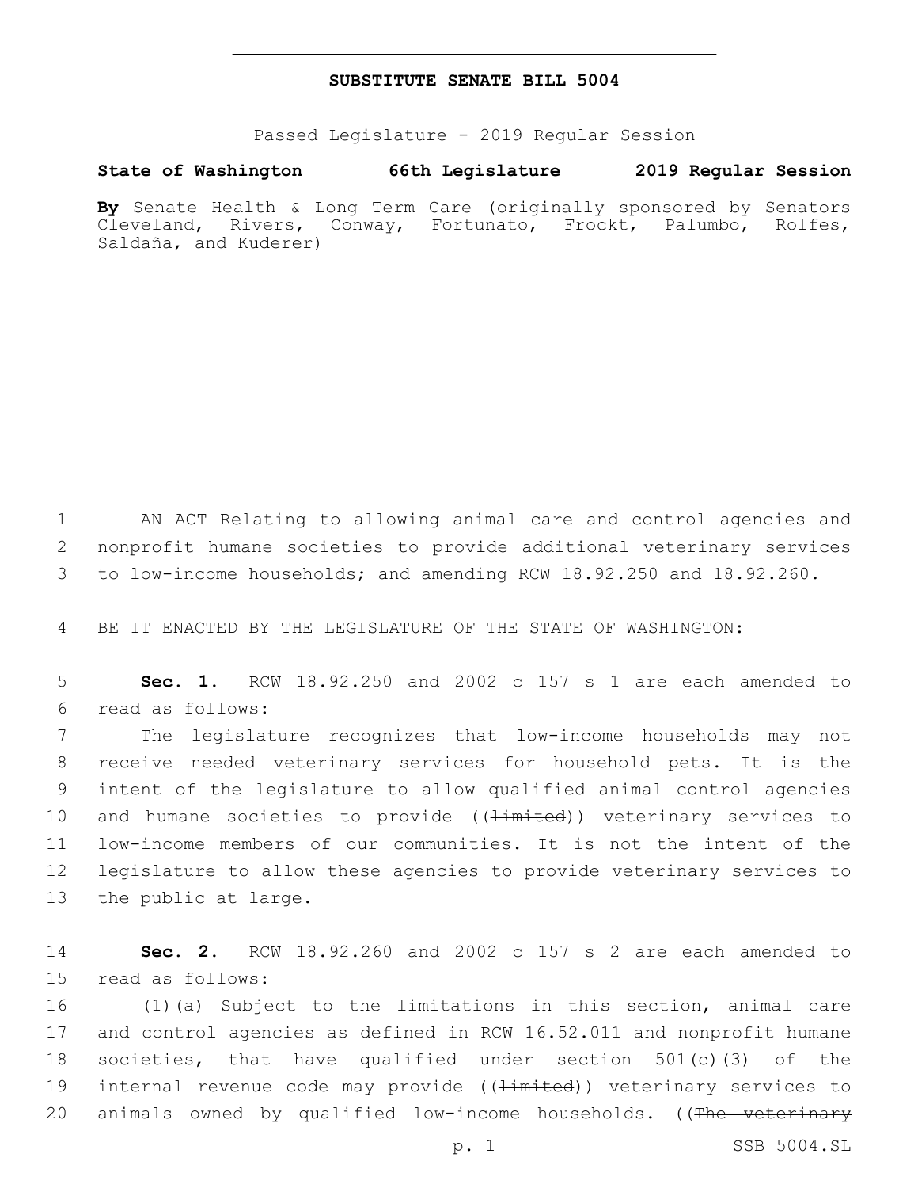### **SUBSTITUTE SENATE BILL 5004**

Passed Legislature - 2019 Regular Session

# **State of Washington 66th Legislature 2019 Regular Session**

**By** Senate Health & Long Term Care (originally sponsored by Senators Cleveland, Rivers, Conway, Fortunato, Frockt, Palumbo, Rolfes, Saldaña, and Kuderer)

1 AN ACT Relating to allowing animal care and control agencies and 2 nonprofit humane societies to provide additional veterinary services 3 to low-income households; and amending RCW 18.92.250 and 18.92.260.

4 BE IT ENACTED BY THE LEGISLATURE OF THE STATE OF WASHINGTON:

5 **Sec. 1.** RCW 18.92.250 and 2002 c 157 s 1 are each amended to read as follows:6

 The legislature recognizes that low-income households may not receive needed veterinary services for household pets. It is the intent of the legislature to allow qualified animal control agencies 10 and humane societies to provide ((<del>limited</del>)) veterinary services to low-income members of our communities. It is not the intent of the legislature to allow these agencies to provide veterinary services to 13 the public at large.

14 **Sec. 2.** RCW 18.92.260 and 2002 c 157 s 2 are each amended to 15 read as follows:

16 (1)(a) Subject to the limitations in this section, animal care 17 and control agencies as defined in RCW 16.52.011 and nonprofit humane 18 societies, that have qualified under section 501(c)(3) of the 19 internal revenue code may provide ((<del>limited</del>)) veterinary services to 20 animals owned by qualified low-income households. ((The veterinary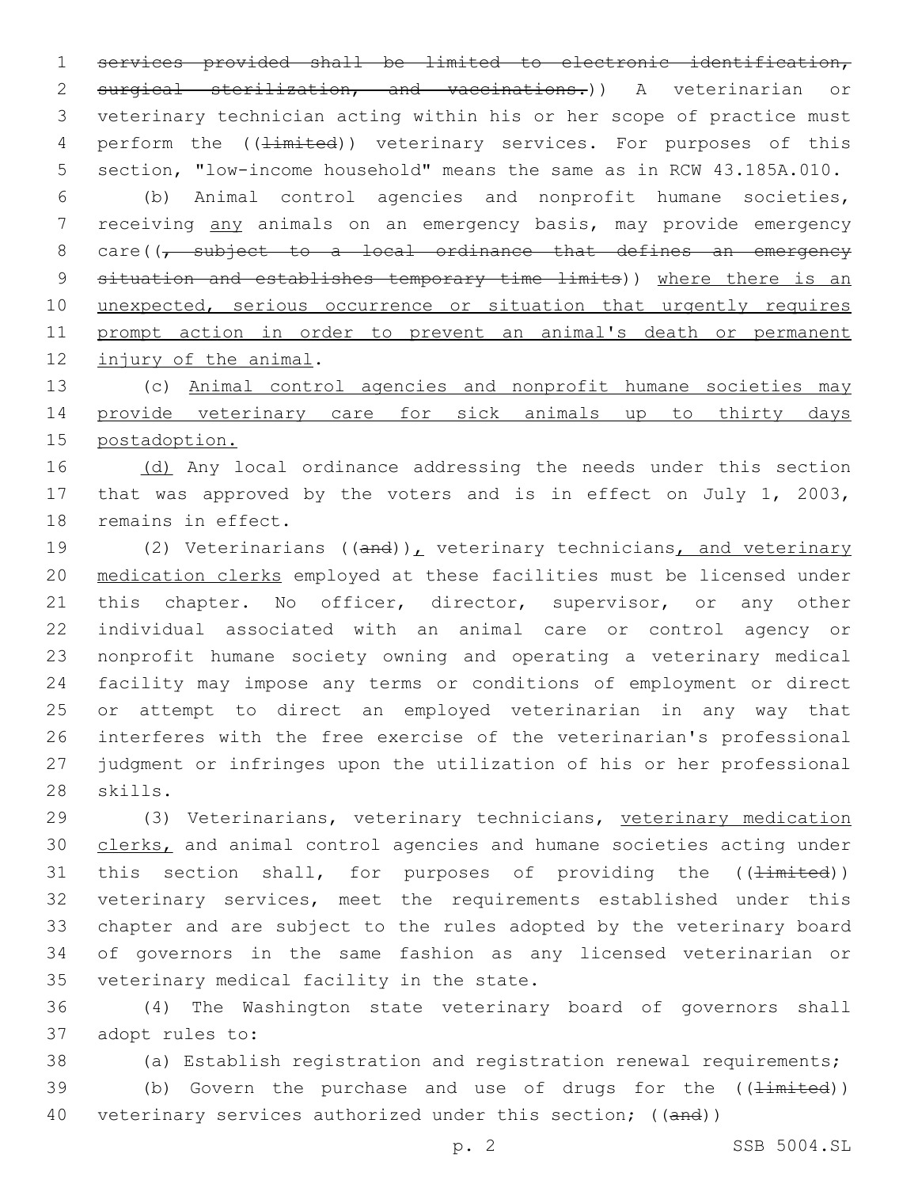1 services provided shall be limited to electronic identification, 2 surgical sterilization, and vaccinations.) A veterinarian or 3 veterinary technician acting within his or her scope of practice must 4 perform the (( $\pm im \pm ed$ )) veterinary services. For purposes of this 5 section, "low-income household" means the same as in RCW 43.185A.010.

6 (b) Animal control agencies and nonprofit humane societies, 7 receiving any animals on an emergency basis, may provide emergency 8 care((, subject to a local ordinance that defines an emergency 9 situation and establishes temporary time limits)) where there is an 10 unexpected, serious occurrence or situation that urgently requires 11 prompt action in order to prevent an animal's death or permanent 12 injury of the animal.

13 (c) Animal control agencies and nonprofit humane societies may 14 provide veterinary care for sick animals up to thirty days 15 postadoption.

16 (d) Any local ordinance addressing the needs under this section 17 that was approved by the voters and is in effect on July 1, 2003, 18 remains in effect.

19 (2) Veterinarians ((and)), veterinary technicians, and veterinary medication clerks employed at these facilities must be licensed under 21 this chapter. No officer, director, supervisor, or any other individual associated with an animal care or control agency or nonprofit humane society owning and operating a veterinary medical facility may impose any terms or conditions of employment or direct or attempt to direct an employed veterinarian in any way that interferes with the free exercise of the veterinarian's professional judgment or infringes upon the utilization of his or her professional 28 skills.

 (3) Veterinarians, veterinary technicians, veterinary medication clerks, and animal control agencies and humane societies acting under 31 this section shall, for purposes of providing the  $(\pm imited)$ ) veterinary services, meet the requirements established under this chapter and are subject to the rules adopted by the veterinary board of governors in the same fashion as any licensed veterinarian or 35 veterinary medical facility in the state.

36 (4) The Washington state veterinary board of governors shall 37 adopt rules to:

38 (a) Establish registration and registration renewal requirements;

39 (b) Govern the purchase and use of drugs for the  $(\{\text{limited}\})$ 40 veterinary services authorized under this section; ((and))